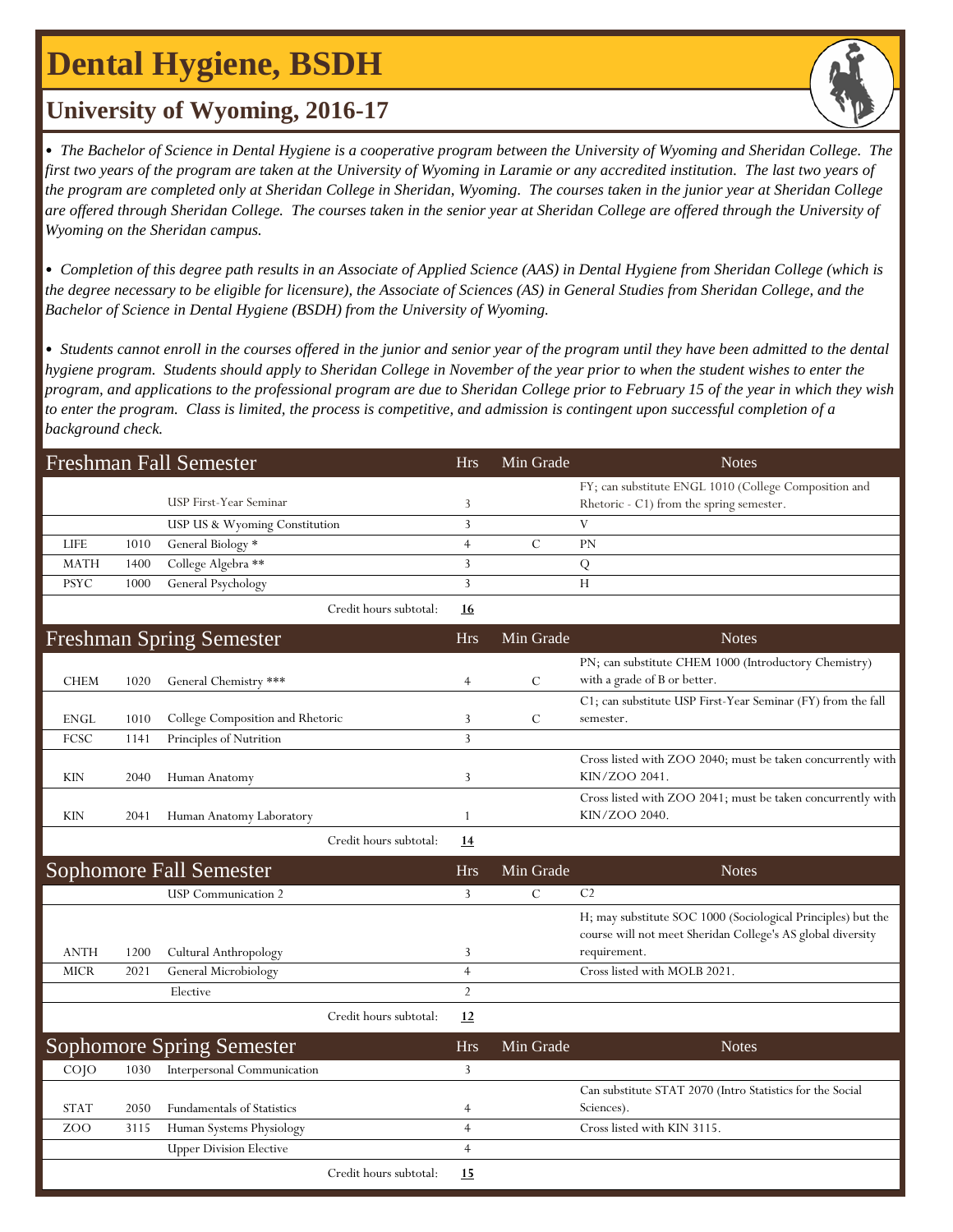## **Dental Hygiene, BSDH**

### **University of Wyoming, 2016-17**

• *The Bachelor of Science in Dental Hygiene is a cooperative program between the University of Wyoming and Sheridan College. The*  first two years of the program are taken at the University of Wyoming in Laramie or any accredited institution. The last two years of *the program are completed only at Sheridan College in Sheridan, Wyoming. The courses taken in the junior year at Sheridan College are offered through Sheridan College. The courses taken in the senior year at Sheridan College are offered through the University of Wyoming on the Sheridan campus.*

• *Completion of this degree path results in an Associate of Applied Science (AAS) in Dental Hygiene from Sheridan College (which is the degree necessary to be eligible for licensure), the Associate of Sciences (AS) in General Studies from Sheridan College, and the Bachelor of Science in Dental Hygiene (BSDH) from the University of Wyoming.*

• *Students cannot enroll in the courses offered in the junior and senior year of the program until they have been admitted to the dental hygiene program. Students should apply to Sheridan College in November of the year prior to when the student wishes to enter the program, and applications to the professional program are due to Sheridan College prior to February 15 of the year in which they wish to enter the program. Class is limited, the process is competitive, and admission is contingent upon successful completion of a background check.*

|             |      | <b>Freshman Fall Semester</b>     |                        | <b>Hrs</b>     | Min Grade     | <b>Notes</b>                                                                                                                |
|-------------|------|-----------------------------------|------------------------|----------------|---------------|-----------------------------------------------------------------------------------------------------------------------------|
|             |      | USP First-Year Seminar            |                        | 3              |               | FY; can substitute ENGL 1010 (College Composition and<br>Rhetoric - C1) from the spring semester.                           |
|             |      | USP US & Wyoming Constitution     |                        | 3              |               | V                                                                                                                           |
| LIFE        | 1010 | General Biology *                 |                        | $\overline{4}$ | $\mathcal{C}$ | PN                                                                                                                          |
| <b>MATH</b> | 1400 | College Algebra **                |                        | 3              |               | Q                                                                                                                           |
| <b>PSYC</b> | 1000 | General Psychology                |                        | 3              |               | H                                                                                                                           |
|             |      |                                   | Credit hours subtotal: | <u>16</u>      |               |                                                                                                                             |
|             |      | <b>Freshman Spring Semester</b>   |                        | <b>Hrs</b>     | Min Grade     | <b>Notes</b>                                                                                                                |
|             |      |                                   |                        |                |               | PN; can substitute CHEM 1000 (Introductory Chemistry)                                                                       |
| <b>CHEM</b> | 1020 | General Chemistry ***             |                        | $\overline{4}$ | С             | with a grade of B or better.                                                                                                |
|             |      |                                   |                        |                |               | C1; can substitute USP First-Year Seminar (FY) from the fall                                                                |
| ENGL        | 1010 | College Composition and Rhetoric  |                        | 3              | $\mathcal{C}$ | semester.                                                                                                                   |
| FCSC        | 1141 | Principles of Nutrition           |                        | 3              |               |                                                                                                                             |
| <b>KIN</b>  | 2040 | Human Anatomy                     |                        | 3              |               | Cross listed with ZOO 2040; must be taken concurrently with<br>KIN/ZOO 2041.                                                |
| KIN         | 2041 | Human Anatomy Laboratory          |                        | 1              |               | Cross listed with ZOO 2041; must be taken concurrently with<br>KIN/ZOO 2040.                                                |
|             |      |                                   | Credit hours subtotal: | 14             |               |                                                                                                                             |
|             |      | <b>Sophomore Fall Semester</b>    |                        | <b>Hrs</b>     | Min Grade     | <b>Notes</b>                                                                                                                |
|             |      | <b>USP</b> Communication 2        |                        | 3              | $\mathcal{C}$ | C <sub>2</sub>                                                                                                              |
|             |      |                                   |                        |                |               | H; may substitute SOC 1000 (Sociological Principles) but the<br>course will not meet Sheridan College's AS global diversity |
| <b>ANTH</b> | 1200 | Cultural Anthropology             |                        | 3              |               | requirement.                                                                                                                |
| <b>MICR</b> | 2021 | General Microbiology              |                        | $\overline{4}$ |               | Cross listed with MOLB 2021.                                                                                                |
|             |      | Elective                          |                        | $\overline{2}$ |               |                                                                                                                             |
|             |      |                                   | Credit hours subtotal: | 12             |               |                                                                                                                             |
|             |      | <b>Sophomore Spring Semester</b>  |                        | <b>Hrs</b>     | Min Grade     | <b>Notes</b>                                                                                                                |
| COJO        | 1030 | Interpersonal Communication       |                        | 3              |               |                                                                                                                             |
|             |      |                                   |                        |                |               | Can substitute STAT 2070 (Intro Statistics for the Social                                                                   |
| <b>STAT</b> | 2050 | <b>Fundamentals of Statistics</b> |                        | 4              |               | Sciences).                                                                                                                  |
| ZOO         | 3115 | Human Systems Physiology          |                        | $\overline{4}$ |               | Cross listed with KIN 3115.                                                                                                 |
|             |      | <b>Upper Division Elective</b>    |                        | $\overline{4}$ |               |                                                                                                                             |
|             |      |                                   | Credit hours subtotal: | 15             |               |                                                                                                                             |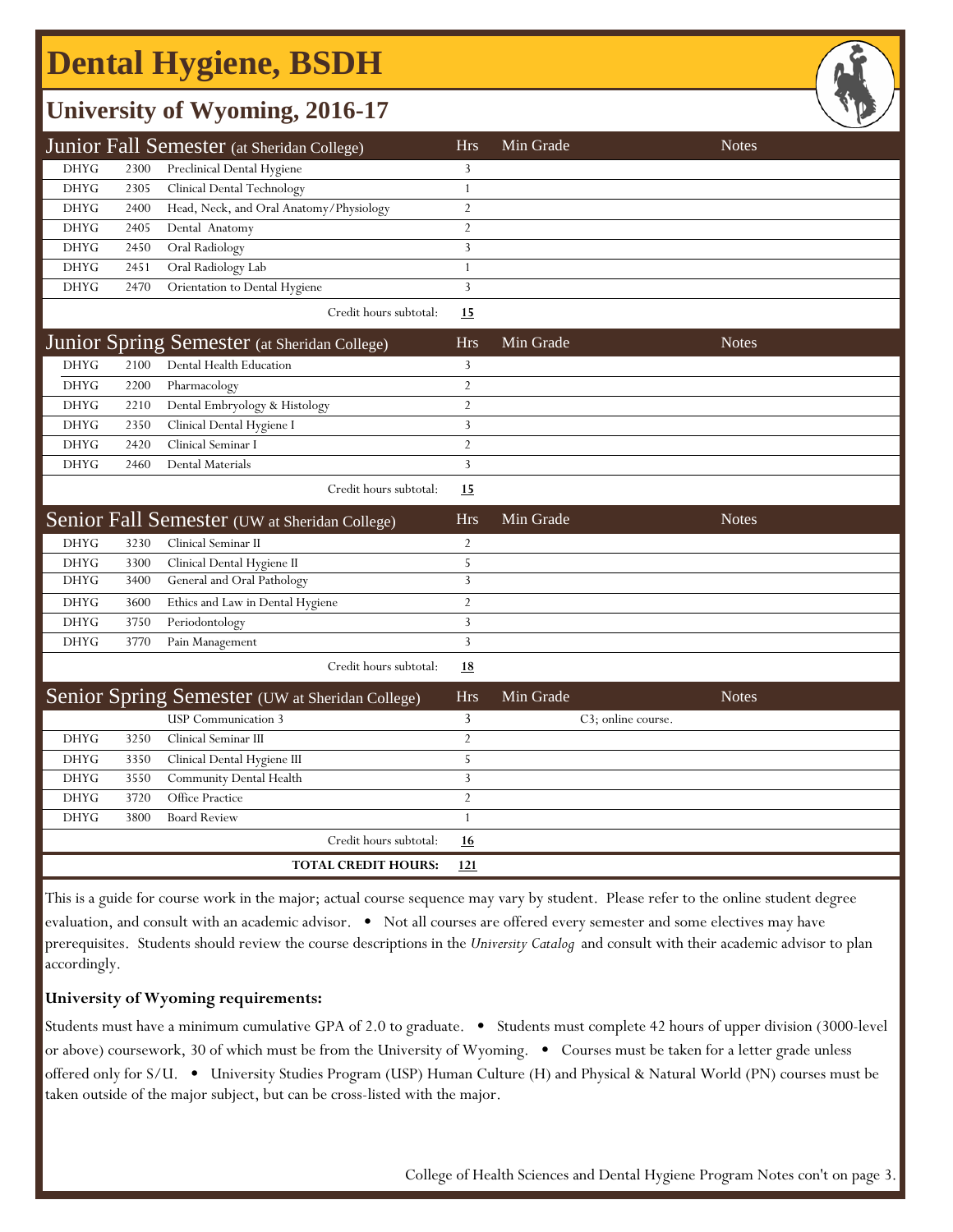# **Dental Hygiene, BSDH**

### **University of Wyoming, 2016-17**

|             |      | Junior Fall Semester (at Sheridan College) | Hrs | Min Grade | <b>Notes</b> |
|-------------|------|--------------------------------------------|-----|-----------|--------------|
| <b>DHYG</b> | 2300 | Preclinical Dental Hygiene                 |     |           |              |
| <b>DHYG</b> | 2305 | Clinical Dental Technology                 |     |           |              |
| <b>DHYG</b> | 2400 | Head, Neck, and Oral Anatomy/Physiology    |     |           |              |
| <b>DHYG</b> | 2405 | Dental Anatomy                             |     |           |              |
| DHYG        | 2450 | Oral Radiology                             |     |           |              |
| <b>DHYG</b> | 2451 | Oral Radiology Lab                         |     |           |              |
| <b>DHYG</b> | 2470 | Orientation to Dental Hygiene              |     |           |              |
|             |      |                                            |     |           |              |

Credit hours subtotal: **15**

|             |      | Junior Spring Semester (at Sheridan College) | <b>Hrs</b> | Min Grade | <b>Notes</b> |
|-------------|------|----------------------------------------------|------------|-----------|--------------|
| DHYG        | 2100 | Dental Health Education                      |            |           |              |
| DHYG        | 2200 | Pharmacology                                 |            |           |              |
| DHYG        | 2210 | Dental Embryology & Histology                |            |           |              |
| DHYG        | 2350 | Clinical Dental Hygiene I                    |            |           |              |
| <b>DHYG</b> | 2420 | Clinical Seminar I                           |            |           |              |
| DHYG        | 2460 | <b>Dental Materials</b>                      |            |           |              |
|             |      | Credit hours subtotal:                       | <u>15</u>  |           |              |

|             |      | Senior Fall Semester (UW at Sheridan College)   | <b>Hrs</b> | Min Grade | <b>Notes</b> |
|-------------|------|-------------------------------------------------|------------|-----------|--------------|
| <b>DHYG</b> | 3230 | Clinical Seminar II                             |            |           |              |
| <b>DHYG</b> | 3300 | Clinical Dental Hygiene II                      |            |           |              |
| <b>DHYG</b> | 3400 | General and Oral Pathology                      |            |           |              |
| <b>DHYG</b> | 3600 | Ethics and Law in Dental Hygiene                |            |           |              |
| <b>DHYG</b> | 3750 | Periodontology                                  |            |           |              |
| <b>DHYG</b> | 3770 | Pain Management                                 |            |           |              |
|             |      | Credit hours subtotal:                          | <u>18</u>  |           |              |
|             |      | Senior Spring Semester (UW at Sheridan College) | <b>Hrs</b> | Min Grade | <b>Notes</b> |

|      |      | <b>USP</b> Communication 3  |            | C3; online course. |
|------|------|-----------------------------|------------|--------------------|
| DHYG | 3250 | Clinical Seminar III        |            |                    |
| DHYG | 3350 | Clinical Dental Hygiene III |            |                    |
| DHYG | 3550 | Community Dental Health     |            |                    |
| DHYG | 3720 | <b>Office Practice</b>      |            |                    |
| DHYG | 3800 | <b>Board Review</b>         |            |                    |
|      |      | Credit hours subtotal:      | <u>16</u>  |                    |
|      |      | <b>TOTAL CREDIT HOURS:</b>  | <u>121</u> |                    |

This is a guide for course work in the major; actual course sequence may vary by student. Please refer to the online student degree evaluation, and consult with an academic advisor.  $\bullet$  Not all courses are offered every semester and some electives may have prerequisites. Students should review the course descriptions in the *University Catalog* and consult with their academic advisor to plan accordingly.

#### **University of Wyoming requirements:**

Students must have a minimum cumulative GPA of 2.0 to graduate. • Students must complete 42 hours of upper division (3000-level or above) coursework, 30 of which must be from the University of Wyoming. • Courses must be taken for a letter grade unless offered only for S/U. • University Studies Program (USP) Human Culture (H) and Physical & Natural World (PN) courses must be taken outside of the major subject, but can be cross-listed with the major.